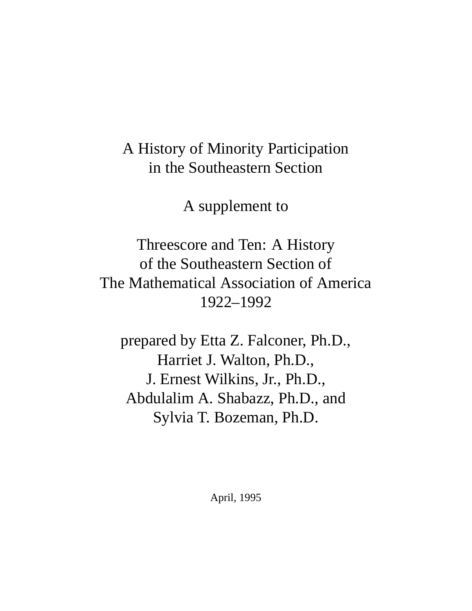# A History of Minority Participation in the Southeastern Section

A supplement to

Threescore and Ten: A History of the Southeastern Section of The Mathematical Association of America 1922–1992

prepared by Etta Z. Falconer, Ph.D., Harriet J. Walton, Ph.D., J. Ernest Wilkins, Jr., Ph.D., Abdulalim A. Shabazz, Ph.D., and Sylvia T. Bozeman, Ph.D.

April, 1995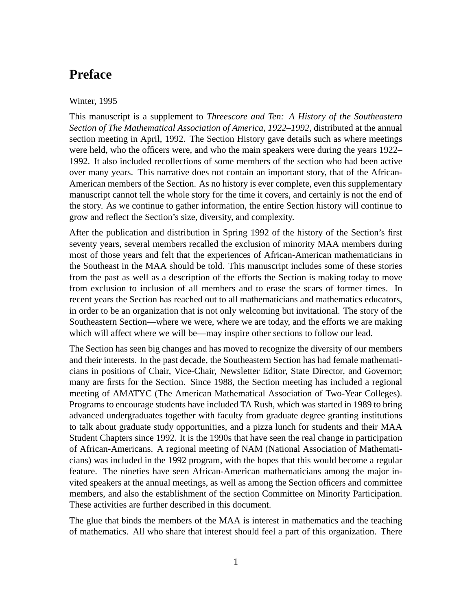### **Preface**

#### Winter, 1995

This manuscript is a supplement to *Threescore and Ten: A History of the Southeastern Section of The Mathematical Association of America, 1922–1992*, distributed at the annual section meeting in April, 1992. The Section History gave details such as where meetings were held, who the officers were, and who the main speakers were during the years 1922– 1992. It also included recollections of some members of the section who had been active over many years. This narrative does not contain an important story, that of the African-American members of the Section. As no history is ever complete, even this supplementary manuscript cannot tell the whole story for the time it covers, and certainly is not the end of the story. As we continue to gather information, the entire Section history will continue to grow and reflect the Section's size, diversity, and complexity.

After the publication and distribution in Spring 1992 of the history of the Section's first seventy years, several members recalled the exclusion of minority MAA members during most of those years and felt that the experiences of African-American mathematicians in the Southeast in the MAA should be told. This manuscript includes some of these stories from the past as well as a description of the efforts the Section is making today to move from exclusion to inclusion of all members and to erase the scars of former times. In recent years the Section has reached out to all mathematicians and mathematics educators, in order to be an organization that is not only welcoming but invitational. The story of the Southeastern Section—where we were, where we are today, and the efforts we are making which will affect where we will be—may inspire other sections to follow our lead.

The Section has seen big changes and has moved to recognize the diversity of our members and their interests. In the past decade, the Southeastern Section has had female mathematicians in positions of Chair, Vice-Chair, Newsletter Editor, State Director, and Governor; many are firsts for the Section. Since 1988, the Section meeting has included a regional meeting of AMATYC (The American Mathematical Association of Two-Year Colleges). Programs to encourage students have included TA Rush, which was started in 1989 to bring advanced undergraduates together with faculty from graduate degree granting institutions to talk about graduate study opportunities, and a pizza lunch for students and their MAA Student Chapters since 1992. It is the 1990s that have seen the real change in participation of African-Americans. A regional meeting of NAM (National Association of Mathematicians) was included in the 1992 program, with the hopes that this would become a regular feature. The nineties have seen African-American mathematicians among the major invited speakers at the annual meetings, as well as among the Section officers and committee members, and also the establishment of the section Committee on Minority Participation. These activities are further described in this document.

The glue that binds the members of the MAA is interest in mathematics and the teaching of mathematics. All who share that interest should feel a part of this organization. There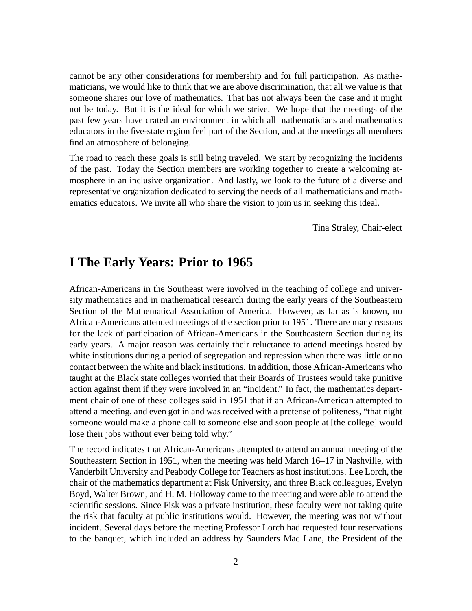cannot be any other considerations for membership and for full participation. As mathematicians, we would like to think that we are above discrimination, that all we value is that someone shares our love of mathematics. That has not always been the case and it might not be today. But it is the ideal for which we strive. We hope that the meetings of the past few years have crated an environment in which all mathematicians and mathematics educators in the five-state region feel part of the Section, and at the meetings all members find an atmosphere of belonging.

The road to reach these goals is still being traveled. We start by recognizing the incidents of the past. Today the Section members are working together to create a welcoming atmosphere in an inclusive organization. And lastly, we look to the future of a diverse and representative organization dedicated to serving the needs of all mathematicians and mathematics educators. We invite all who share the vision to join us in seeking this ideal.

Tina Straley, Chair-elect

### **I The Early Years: Prior to 1965**

African-Americans in the Southeast were involved in the teaching of college and university mathematics and in mathematical research during the early years of the Southeastern Section of the Mathematical Association of America. However, as far as is known, no African-Americans attended meetings of the section prior to 1951. There are many reasons for the lack of participation of African-Americans in the Southeastern Section during its early years. A major reason was certainly their reluctance to attend meetings hosted by white institutions during a period of segregation and repression when there was little or no contact between the white and black institutions. In addition, those African-Americans who taught at the Black state colleges worried that their Boards of Trustees would take punitive action against them if they were involved in an "incident." In fact, the mathematics department chair of one of these colleges said in 1951 that if an African-American attempted to attend a meeting, and even got in and was received with a pretense of politeness, "that night someone would make a phone call to someone else and soon people at [the college] would lose their jobs without ever being told why."

The record indicates that African-Americans attempted to attend an annual meeting of the Southeastern Section in 1951, when the meeting was held March 16–17 in Nashville, with Vanderbilt University and Peabody College for Teachers as host institutions. Lee Lorch, the chair of the mathematics department at Fisk University, and three Black colleagues, Evelyn Boyd, Walter Brown, and H. M. Holloway came to the meeting and were able to attend the scientific sessions. Since Fisk was a private institution, these faculty were not taking quite the risk that faculty at public institutions would. However, the meeting was not without incident. Several days before the meeting Professor Lorch had requested four reservations to the banquet, which included an address by Saunders Mac Lane, the President of the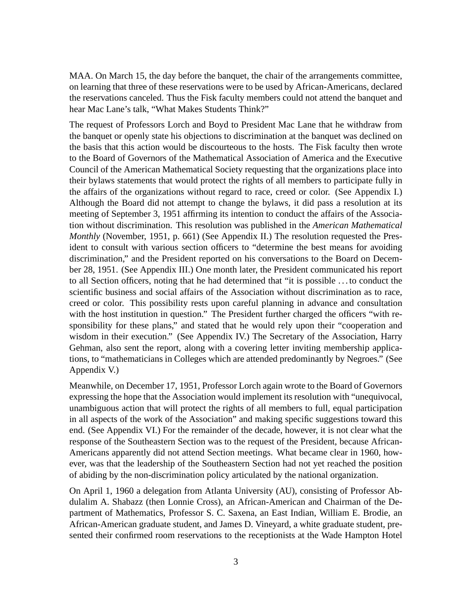MAA. On March 15, the day before the banquet, the chair of the arrangements committee, on learning that three of these reservations were to be used by African-Americans, declared the reservations canceled. Thus the Fisk faculty members could not attend the banquet and hear Mac Lane's talk, "What Makes Students Think?"

The request of Professors Lorch and Boyd to President Mac Lane that he withdraw from the banquet or openly state his objections to discrimination at the banquet was declined on the basis that this action would be discourteous to the hosts. The Fisk faculty then wrote to the Board of Governors of the Mathematical Association of America and the Executive Council of the American Mathematical Society requesting that the organizations place into their bylaws statements that would protect the rights of all members to participate fully in the affairs of the organizations without regard to race, creed or color. (See Appendix I.) Although the Board did not attempt to change the bylaws, it did pass a resolution at its meeting of September 3, 1951 affirming its intention to conduct the affairs of the Association without discrimination. This resolution was published in the *American Mathematical Monthly* (November, 1951, p. 661) (See Appendix II.) The resolution requested the President to consult with various section officers to "determine the best means for avoiding discrimination," and the President reported on his conversations to the Board on December 28, 1951. (See Appendix III.) One month later, the President communicated his report to all Section officers, noting that he had determined that "it is possible . . . to conduct the scientific business and social affairs of the Association without discrimination as to race, creed or color. This possibility rests upon careful planning in advance and consultation with the host institution in question." The President further charged the officers "with responsibility for these plans," and stated that he would rely upon their "cooperation and wisdom in their execution." (See Appendix IV.) The Secretary of the Association, Harry Gehman, also sent the report, along with a covering letter inviting membership applications, to "mathematicians in Colleges which are attended predominantly by Negroes." (See Appendix V.)

Meanwhile, on December 17, 1951, Professor Lorch again wrote to the Board of Governors expressing the hope that the Association would implement its resolution with "unequivocal, unambiguous action that will protect the rights of all members to full, equal participation in all aspects of the work of the Association" and making specific suggestions toward this end. (See Appendix VI.) For the remainder of the decade, however, it is not clear what the response of the Southeastern Section was to the request of the President, because African-Americans apparently did not attend Section meetings. What became clear in 1960, however, was that the leadership of the Southeastern Section had not yet reached the position of abiding by the non-discrimination policy articulated by the national organization.

On April 1, 1960 a delegation from Atlanta University (AU), consisting of Professor Abdulalim A. Shabazz (then Lonnie Cross), an African-American and Chairman of the Department of Mathematics, Professor S. C. Saxena, an East Indian, William E. Brodie, an African-American graduate student, and James D. Vineyard, a white graduate student, presented their confirmed room reservations to the receptionists at the Wade Hampton Hotel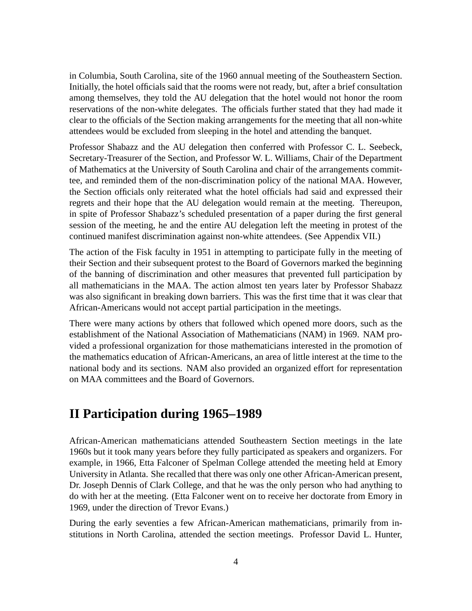in Columbia, South Carolina, site of the 1960 annual meeting of the Southeastern Section. Initially, the hotel officials said that the rooms were not ready, but, after a brief consultation among themselves, they told the AU delegation that the hotel would not honor the room reservations of the non-white delegates. The officials further stated that they had made it clear to the officials of the Section making arrangements for the meeting that all non-white attendees would be excluded from sleeping in the hotel and attending the banquet.

Professor Shabazz and the AU delegation then conferred with Professor C. L. Seebeck, Secretary-Treasurer of the Section, and Professor W. L. Williams, Chair of the Department of Mathematics at the University of South Carolina and chair of the arrangements committee, and reminded them of the non-discrimination policy of the national MAA. However, the Section officials only reiterated what the hotel officials had said and expressed their regrets and their hope that the AU delegation would remain at the meeting. Thereupon, in spite of Professor Shabazz's scheduled presentation of a paper during the first general session of the meeting, he and the entire AU delegation left the meeting in protest of the continued manifest discrimination against non-white attendees. (See Appendix VII.)

The action of the Fisk faculty in 1951 in attempting to participate fully in the meeting of their Section and their subsequent protest to the Board of Governors marked the beginning of the banning of discrimination and other measures that prevented full participation by all mathematicians in the MAA. The action almost ten years later by Professor Shabazz was also significant in breaking down barriers. This was the first time that it was clear that African-Americans would not accept partial participation in the meetings.

There were many actions by others that followed which opened more doors, such as the establishment of the National Association of Mathematicians (NAM) in 1969. NAM provided a professional organization for those mathematicians interested in the promotion of the mathematics education of African-Americans, an area of little interest at the time to the national body and its sections. NAM also provided an organized effort for representation on MAA committees and the Board of Governors.

### **II Participation during 1965–1989**

African-American mathematicians attended Southeastern Section meetings in the late 1960s but it took many years before they fully participated as speakers and organizers. For example, in 1966, Etta Falconer of Spelman College attended the meeting held at Emory University in Atlanta. She recalled that there was only one other African-American present, Dr. Joseph Dennis of Clark College, and that he was the only person who had anything to do with her at the meeting. (Etta Falconer went on to receive her doctorate from Emory in 1969, under the direction of Trevor Evans.)

During the early seventies a few African-American mathematicians, primarily from institutions in North Carolina, attended the section meetings. Professor David L. Hunter,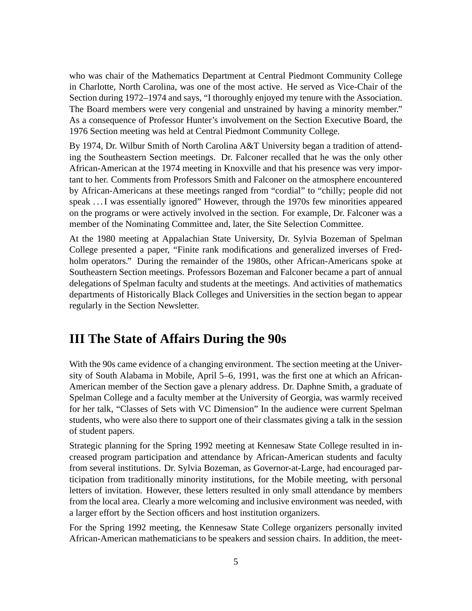who was chair of the Mathematics Department at Central Piedmont Community College in Charlotte, North Carolina, was one of the most active. He served as Vice-Chair of the Section during 1972–1974 and says, "I thoroughly enjoyed my tenure with the Association. The Board members were very congenial and unstrained by having a minority member." As a consequence of Professor Hunter's involvement on the Section Executive Board, the 1976 Section meeting was held at Central Piedmont Community College.

By 1974, Dr. Wilbur Smith of North Carolina A&T University began a tradition of attending the Southeastern Section meetings. Dr. Falconer recalled that he was the only other African-American at the 1974 meeting in Knoxville and that his presence was very important to her. Comments from Professors Smith and Falconer on the atmosphere encountered by African-Americans at these meetings ranged from "cordial" to "chilly; people did not speak . . . I was essentially ignored" However, through the 1970s few minorities appeared on the programs or were actively involved in the section. For example, Dr. Falconer was a member of the Nominating Committee and, later, the Site Selection Committee.

At the 1980 meeting at Appalachian State University, Dr. Sylvia Bozeman of Spelman College presented a paper, "Finite rank modifications and generalized inverses of Fredholm operators." During the remainder of the 1980s, other African-Americans spoke at Southeastern Section meetings. Professors Bozeman and Falconer became a part of annual delegations of Spelman faculty and students at the meetings. And activities of mathematics departments of Historically Black Colleges and Universities in the section began to appear regularly in the Section Newsletter.

### **III The State of Affairs During the 90s**

With the 90s came evidence of a changing environment. The section meeting at the University of South Alabama in Mobile, April 5–6, 1991, was the first one at which an African-American member of the Section gave a plenary address. Dr. Daphne Smith, a graduate of Spelman College and a faculty member at the University of Georgia, was warmly received for her talk, "Classes of Sets with VC Dimension" In the audience were current Spelman students, who were also there to support one of their classmates giving a talk in the session of student papers.

Strategic planning for the Spring 1992 meeting at Kennesaw State College resulted in increased program participation and attendance by African-American students and faculty from several institutions. Dr. Sylvia Bozeman, as Governor-at-Large, had encouraged participation from traditionally minority institutions, for the Mobile meeting, with personal letters of invitation. However, these letters resulted in only small attendance by members from the local area. Clearly a more welcoming and inclusive environment was needed, with a larger effort by the Section officers and host institution organizers.

For the Spring 1992 meeting, the Kennesaw State College organizers personally invited African-American mathematicians to be speakers and session chairs. In addition, the meet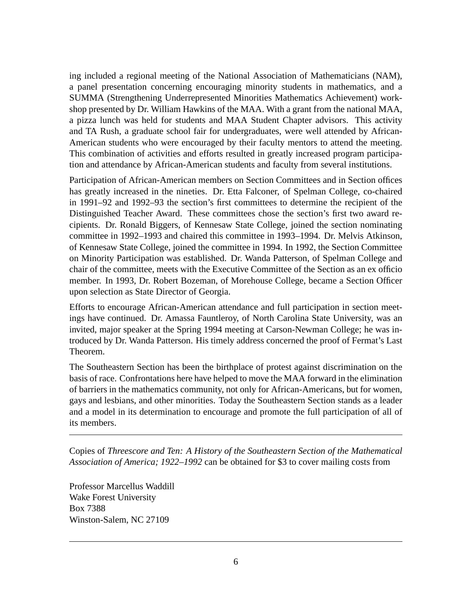ing included a regional meeting of the National Association of Mathematicians (NAM), a panel presentation concerning encouraging minority students in mathematics, and a SUMMA (Strengthening Underrepresented Minorities Mathematics Achievement) workshop presented by Dr. William Hawkins of the MAA. With a grant from the national MAA, a pizza lunch was held for students and MAA Student Chapter advisors. This activity and TA Rush, a graduate school fair for undergraduates, were well attended by African-American students who were encouraged by their faculty mentors to attend the meeting. This combination of activities and efforts resulted in greatly increased program participation and attendance by African-American students and faculty from several institutions.

Participation of African-American members on Section Committees and in Section offices has greatly increased in the nineties. Dr. Etta Falconer, of Spelman College, co-chaired in 1991–92 and 1992–93 the section's first committees to determine the recipient of the Distinguished Teacher Award. These committees chose the section's first two award recipients. Dr. Ronald Biggers, of Kennesaw State College, joined the section nominating committee in 1992–1993 and chaired this committee in 1993–1994. Dr. Melvis Atkinson, of Kennesaw State College, joined the committee in 1994. In 1992, the Section Committee on Minority Participation was established. Dr. Wanda Patterson, of Spelman College and chair of the committee, meets with the Executive Committee of the Section as an ex officio member. In 1993, Dr. Robert Bozeman, of Morehouse College, became a Section Officer upon selection as State Director of Georgia.

Efforts to encourage African-American attendance and full participation in section meetings have continued. Dr. Amassa Fauntleroy, of North Carolina State University, was an invited, major speaker at the Spring 1994 meeting at Carson-Newman College; he was introduced by Dr. Wanda Patterson. His timely address concerned the proof of Fermat's Last Theorem.

The Southeastern Section has been the birthplace of protest against discrimination on the basis of race. Confrontations here have helped to move the MAA forward in the elimination of barriers in the mathematics community, not only for African-Americans, but for women, gays and lesbians, and other minorities. Today the Southeastern Section stands as a leader and a model in its determination to encourage and promote the full participation of all of its members.

Copies of *Threescore and Ten: A History of the Southeastern Section of the Mathematical Association of America; 1922–1992* can be obtained for \$3 to cover mailing costs from

Professor Marcellus Waddill Wake Forest University Box 7388 Winston-Salem, NC 27109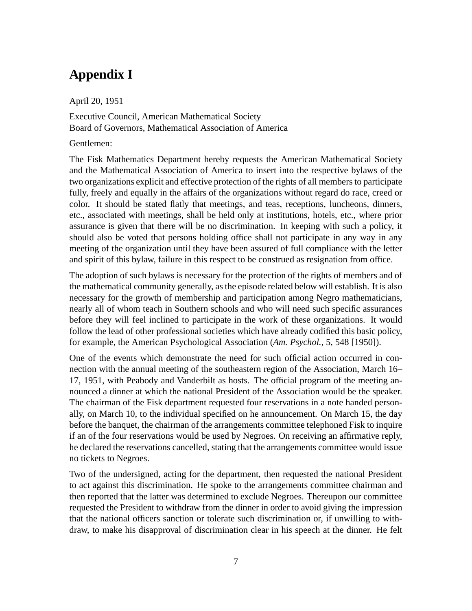## **Appendix I**

April 20, 1951

Executive Council, American Mathematical Society Board of Governors, Mathematical Association of America

#### Gentlemen:

The Fisk Mathematics Department hereby requests the American Mathematical Society and the Mathematical Association of America to insert into the respective bylaws of the two organizations explicit and effective protection of the rights of all members to participate fully, freely and equally in the affairs of the organizations without regard do race, creed or color. It should be stated flatly that meetings, and teas, receptions, luncheons, dinners, etc., associated with meetings, shall be held only at institutions, hotels, etc., where prior assurance is given that there will be no discrimination. In keeping with such a policy, it should also be voted that persons holding office shall not participate in any way in any meeting of the organization until they have been assured of full compliance with the letter and spirit of this bylaw, failure in this respect to be construed as resignation from office.

The adoption of such bylaws is necessary for the protection of the rights of members and of the mathematical community generally, as the episode related below will establish. It is also necessary for the growth of membership and participation among Negro mathematicians, nearly all of whom teach in Southern schools and who will need such specific assurances before they will feel inclined to participate in the work of these organizations. It would follow the lead of other professional societies which have already codified this basic policy, for example, the American Psychological Association (*Am. Psychol.*, 5, 548 [1950]).

One of the events which demonstrate the need for such official action occurred in connection with the annual meeting of the southeastern region of the Association, March 16– 17, 1951, with Peabody and Vanderbilt as hosts. The official program of the meeting announced a dinner at which the national President of the Association would be the speaker. The chairman of the Fisk department requested four reservations in a note handed personally, on March 10, to the individual specified on he announcement. On March 15, the day before the banquet, the chairman of the arrangements committee telephoned Fisk to inquire if an of the four reservations would be used by Negroes. On receiving an affirmative reply, he declared the reservations cancelled, stating that the arrangements committee would issue no tickets to Negroes.

Two of the undersigned, acting for the department, then requested the national President to act against this discrimination. He spoke to the arrangements committee chairman and then reported that the latter was determined to exclude Negroes. Thereupon our committee requested the President to withdraw from the dinner in order to avoid giving the impression that the national officers sanction or tolerate such discrimination or, if unwilling to withdraw, to make his disapproval of discrimination clear in his speech at the dinner. He felt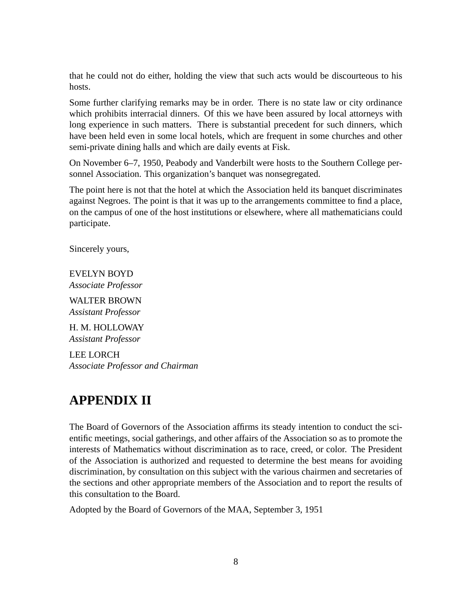that he could not do either, holding the view that such acts would be discourteous to his hosts.

Some further clarifying remarks may be in order. There is no state law or city ordinance which prohibits interracial dinners. Of this we have been assured by local attorneys with long experience in such matters. There is substantial precedent for such dinners, which have been held even in some local hotels, which are frequent in some churches and other semi-private dining halls and which are daily events at Fisk.

On November 6–7, 1950, Peabody and Vanderbilt were hosts to the Southern College personnel Association. This organization's banquet was nonsegregated.

The point here is not that the hotel at which the Association held its banquet discriminates against Negroes. The point is that it was up to the arrangements committee to find a place, on the campus of one of the host institutions or elsewhere, where all mathematicians could participate.

Sincerely yours,

EVELYN BOYD *Associate Professor*

WALTER BROWN *Assistant Professor*

H. M. HOLLOWAY *Assistant Professor*

LEE LORCH *Associate Professor and Chairman*

## **APPENDIX II**

The Board of Governors of the Association affirms its steady intention to conduct the scientific meetings, social gatherings, and other affairs of the Association so as to promote the interests of Mathematics without discrimination as to race, creed, or color. The President of the Association is authorized and requested to determine the best means for avoiding discrimination, by consultation on this subject with the various chairmen and secretaries of the sections and other appropriate members of the Association and to report the results of this consultation to the Board.

Adopted by the Board of Governors of the MAA, September 3, 1951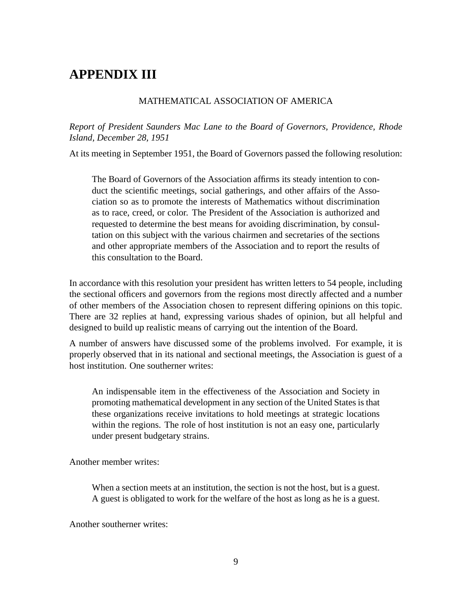## **APPENDIX III**

#### MATHEMATICAL ASSOCIATION OF AMERICA

*Report of President Saunders Mac Lane to the Board of Governors, Providence, Rhode Island, December 28, 1951*

At its meeting in September 1951, the Board of Governors passed the following resolution:

The Board of Governors of the Association affirms its steady intention to conduct the scientific meetings, social gatherings, and other affairs of the Association so as to promote the interests of Mathematics without discrimination as to race, creed, or color. The President of the Association is authorized and requested to determine the best means for avoiding discrimination, by consultation on this subject with the various chairmen and secretaries of the sections and other appropriate members of the Association and to report the results of this consultation to the Board.

In accordance with this resolution your president has written letters to 54 people, including the sectional officers and governors from the regions most directly affected and a number of other members of the Association chosen to represent differing opinions on this topic. There are 32 replies at hand, expressing various shades of opinion, but all helpful and designed to build up realistic means of carrying out the intention of the Board.

A number of answers have discussed some of the problems involved. For example, it is properly observed that in its national and sectional meetings, the Association is guest of a host institution. One southerner writes:

An indispensable item in the effectiveness of the Association and Society in promoting mathematical development in any section of the United States is that these organizations receive invitations to hold meetings at strategic locations within the regions. The role of host institution is not an easy one, particularly under present budgetary strains.

Another member writes:

When a section meets at an institution, the section is not the host, but is a guest. A guest is obligated to work for the welfare of the host as long as he is a guest.

Another southerner writes: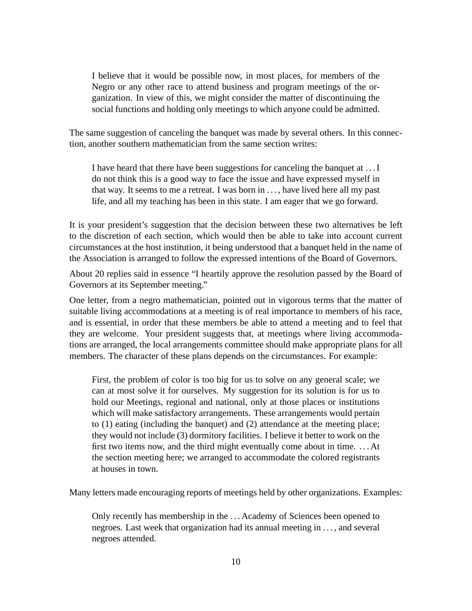I believe that it would be possible now, in most places, for members of the Negro or any other race to attend business and program meetings of the organization. In view of this, we might consider the matter of discontinuing the social functions and holding only meetings to which anyone could be admitted.

The same suggestion of canceling the banquet was made by several others. In this connection, another southern mathematician from the same section writes:

I have heard that there have been suggestions for canceling the banquet at . . . I do not think this is a good way to face the issue and have expressed myself in that way. It seems to me a retreat. I was born in . . . , have lived here all my past life, and all my teaching has been in this state. I am eager that we go forward.

It is your president's suggestion that the decision between these two alternatives be left to the discretion of each section, which would then be able to take into account current circumstances at the host institution, it being understood that a banquet held in the name of the Association is arranged to follow the expressed intentions of the Board of Governors.

About 20 replies said in essence "I heartily approve the resolution passed by the Board of Governors at its September meeting."

One letter, from a negro mathematician, pointed out in vigorous terms that the matter of suitable living accommodations at a meeting is of real importance to members of his race, and is essential, in order that these members be able to attend a meeting and to feel that they are welcome. Your president suggests that, at meetings where living accommodations are arranged, the local arrangements committee should make appropriate plans for all members. The character of these plans depends on the circumstances. For example:

First, the problem of color is too big for us to solve on any general scale; we can at most solve it for ourselves. My suggestion for its solution is for us to hold our Meetings, regional and national, only at those places or institutions which will make satisfactory arrangements. These arrangements would pertain to (1) eating (including the banquet) and (2) attendance at the meeting place; they would not include (3) dormitory facilities. I believe it better to work on the first two items now, and the third might eventually come about in time. . . . At the section meeting here; we arranged to accommodate the colored registrants at houses in town.

Many letters made encouraging reports of meetings held by other organizations. Examples:

Only recently has membership in the . . . Academy of Sciences been opened to negroes. Last week that organization had its annual meeting in . . . , and several negroes attended.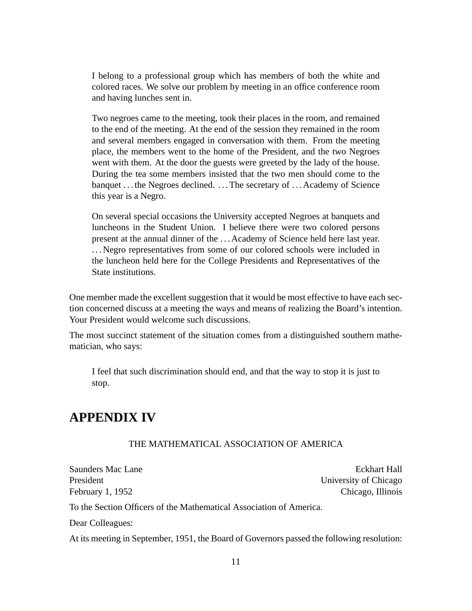I belong to a professional group which has members of both the white and colored races. We solve our problem by meeting in an office conference room and having lunches sent in.

Two negroes came to the meeting, took their places in the room, and remained to the end of the meeting. At the end of the session they remained in the room and several members engaged in conversation with them. From the meeting place, the members went to the home of the President, and the two Negroes went with them. At the door the guests were greeted by the lady of the house. During the tea some members insisted that the two men should come to the banquet ... the Negroes declined. ... The secretary of ... Academy of Science this year is a Negro.

On several special occasions the University accepted Negroes at banquets and luncheons in the Student Union. I believe there were two colored persons present at the annual dinner of the . . . Academy of Science held here last year. . . . Negro representatives from some of our colored schools were included in the luncheon held here for the College Presidents and Representatives of the State institutions.

One member made the excellent suggestion that it would be most effective to have each section concerned discuss at a meeting the ways and means of realizing the Board's intention. Your President would welcome such discussions.

The most succinct statement of the situation comes from a distinguished southern mathematician, who says:

I feel that such discrimination should end, and that the way to stop it is just to stop.

### **APPENDIX IV**

#### THE MATHEMATICAL ASSOCIATION OF AMERICA

Saunders Mac Lane Eckhart Hall President University of Chicago February 1, 1952 Chicago, Illinois To the Section Officers of the Mathematical Association of America. Dear Colleagues:

At its meeting in September, 1951, the Board of Governors passed the following resolution: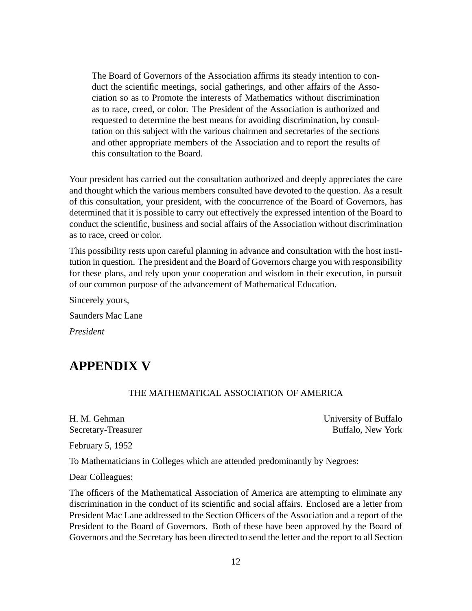The Board of Governors of the Association affirms its steady intention to conduct the scientific meetings, social gatherings, and other affairs of the Association so as to Promote the interests of Mathematics without discrimination as to race, creed, or color. The President of the Association is authorized and requested to determine the best means for avoiding discrimination, by consultation on this subject with the various chairmen and secretaries of the sections and other appropriate members of the Association and to report the results of this consultation to the Board.

Your president has carried out the consultation authorized and deeply appreciates the care and thought which the various members consulted have devoted to the question. As a result of this consultation, your president, with the concurrence of the Board of Governors, has determined that it is possible to carry out effectively the expressed intention of the Board to conduct the scientific, business and social affairs of the Association without discrimination as to race, creed or color.

This possibility rests upon careful planning in advance and consultation with the host institution in question. The president and the Board of Governors charge you with responsibility for these plans, and rely upon your cooperation and wisdom in their execution, in pursuit of our common purpose of the advancement of Mathematical Education.

Sincerely yours, Saunders Mac Lane *President*

### **APPENDIX V**

#### THE MATHEMATICAL ASSOCIATION OF AMERICA

H. M. Gehman University of Buffalo Secretary-Treasurer Buffalo, New York

February 5, 1952

To Mathematicians in Colleges which are attended predominantly by Negroes:

Dear Colleagues:

The officers of the Mathematical Association of America are attempting to eliminate any discrimination in the conduct of its scientific and social affairs. Enclosed are a letter from President Mac Lane addressed to the Section Officers of the Association and a report of the President to the Board of Governors. Both of these have been approved by the Board of Governors and the Secretary has been directed to send the letter and the report to all Section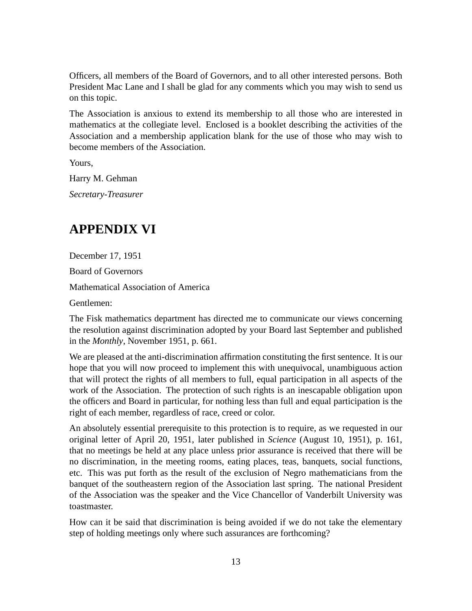Officers, all members of the Board of Governors, and to all other interested persons. Both President Mac Lane and I shall be glad for any comments which you may wish to send us on this topic.

The Association is anxious to extend its membership to all those who are interested in mathematics at the collegiate level. Enclosed is a booklet describing the activities of the Association and a membership application blank for the use of those who may wish to become members of the Association.

Yours,

Harry M. Gehman

*Secretary-Treasurer*

## **APPENDIX VI**

December 17, 1951

Board of Governors

Mathematical Association of America

Gentlemen:

The Fisk mathematics department has directed me to communicate our views concerning the resolution against discrimination adopted by your Board last September and published in the *Monthly*, November 1951, p. 661.

We are pleased at the anti-discrimination affirmation constituting the first sentence. It is our hope that you will now proceed to implement this with unequivocal, unambiguous action that will protect the rights of all members to full, equal participation in all aspects of the work of the Association. The protection of such rights is an inescapable obligation upon the officers and Board in particular, for nothing less than full and equal participation is the right of each member, regardless of race, creed or color.

An absolutely essential prerequisite to this protection is to require, as we requested in our original letter of April 20, 1951, later published in *Science* (August 10, 1951), p. 161, that no meetings be held at any place unless prior assurance is received that there will be no discrimination, in the meeting rooms, eating places, teas, banquets, social functions, etc. This was put forth as the result of the exclusion of Negro mathematicians from the banquet of the southeastern region of the Association last spring. The national President of the Association was the speaker and the Vice Chancellor of Vanderbilt University was toastmaster.

How can it be said that discrimination is being avoided if we do not take the elementary step of holding meetings only where such assurances are forthcoming?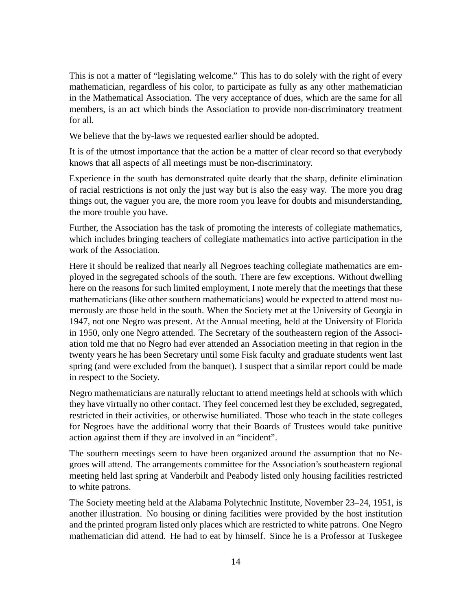This is not a matter of "legislating welcome." This has to do solely with the right of every mathematician, regardless of his color, to participate as fully as any other mathematician in the Mathematical Association. The very acceptance of dues, which are the same for all members, is an act which binds the Association to provide non-discriminatory treatment for all.

We believe that the by-laws we requested earlier should be adopted.

It is of the utmost importance that the action be a matter of clear record so that everybody knows that all aspects of all meetings must be non-discriminatory.

Experience in the south has demonstrated quite dearly that the sharp, definite elimination of racial restrictions is not only the just way but is also the easy way. The more you drag things out, the vaguer you are, the more room you leave for doubts and misunderstanding, the more trouble you have.

Further, the Association has the task of promoting the interests of collegiate mathematics, which includes bringing teachers of collegiate mathematics into active participation in the work of the Association.

Here it should be realized that nearly all Negroes teaching collegiate mathematics are employed in the segregated schools of the south. There are few exceptions. Without dwelling here on the reasons for such limited employment, I note merely that the meetings that these mathematicians (like other southern mathematicians) would be expected to attend most numerously are those held in the south. When the Society met at the University of Georgia in 1947, not one Negro was present. At the Annual meeting, held at the University of Florida in 1950, only one Negro attended. The Secretary of the southeastern region of the Association told me that no Negro had ever attended an Association meeting in that region in the twenty years he has been Secretary until some Fisk faculty and graduate students went last spring (and were excluded from the banquet). I suspect that a similar report could be made in respect to the Society.

Negro mathematicians are naturally reluctant to attend meetings held at schools with which they have virtually no other contact. They feel concerned lest they be excluded, segregated, restricted in their activities, or otherwise humiliated. Those who teach in the state colleges for Negroes have the additional worry that their Boards of Trustees would take punitive action against them if they are involved in an "incident".

The southern meetings seem to have been organized around the assumption that no Negroes will attend. The arrangements committee for the Association's southeastern regional meeting held last spring at Vanderbilt and Peabody listed only housing facilities restricted to white patrons.

The Society meeting held at the Alabama Polytechnic Institute, November 23–24, 1951, is another illustration. No housing or dining facilities were provided by the host institution and the printed program listed only places which are restricted to white patrons. One Negro mathematician did attend. He had to eat by himself. Since he is a Professor at Tuskegee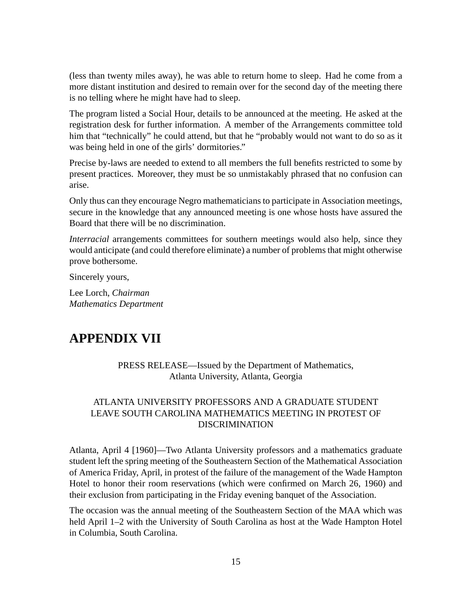(less than twenty miles away), he was able to return home to sleep. Had he come from a more distant institution and desired to remain over for the second day of the meeting there is no telling where he might have had to sleep.

The program listed a Social Hour, details to be announced at the meeting. He asked at the registration desk for further information. A member of the Arrangements committee told him that "technically" he could attend, but that he "probably would not want to do so as it was being held in one of the girls' dormitories."

Precise by-laws are needed to extend to all members the full benefits restricted to some by present practices. Moreover, they must be so unmistakably phrased that no confusion can arise.

Only thus can they encourage Negro mathematicians to participate in Association meetings, secure in the knowledge that any announced meeting is one whose hosts have assured the Board that there will be no discrimination.

*Interracial* arrangements committees for southern meetings would also help, since they would anticipate (and could therefore eliminate) a number of problems that might otherwise prove bothersome.

Sincerely yours,

Lee Lorch, *Chairman Mathematics Department*

### **APPENDIX VII**

#### PRESS RELEASE—Issued by the Department of Mathematics, Atlanta University, Atlanta, Georgia

#### ATLANTA UNIVERSITY PROFESSORS AND A GRADUATE STUDENT LEAVE SOUTH CAROLINA MATHEMATICS MEETING IN PROTEST OF DISCRIMINATION

Atlanta, April 4 [1960]—Two Atlanta University professors and a mathematics graduate student left the spring meeting of the Southeastern Section of the Mathematical Association of America Friday, April, in protest of the failure of the management of the Wade Hampton Hotel to honor their room reservations (which were confirmed on March 26, 1960) and their exclusion from participating in the Friday evening banquet of the Association.

The occasion was the annual meeting of the Southeastern Section of the MAA which was held April 1–2 with the University of South Carolina as host at the Wade Hampton Hotel in Columbia, South Carolina.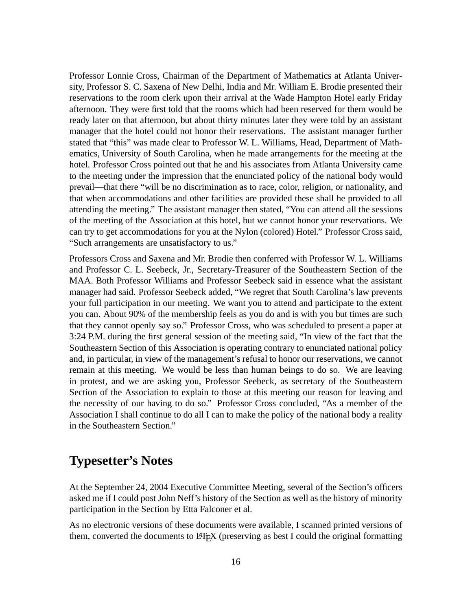Professor Lonnie Cross, Chairman of the Department of Mathematics at Atlanta University, Professor S. C. Saxena of New Delhi, India and Mr. William E. Brodie presented their reservations to the room clerk upon their arrival at the Wade Hampton Hotel early Friday afternoon. They were first told that the rooms which had been reserved for them would be ready later on that afternoon, but about thirty minutes later they were told by an assistant manager that the hotel could not honor their reservations. The assistant manager further stated that "this" was made clear to Professor W. L. Williams, Head, Department of Mathematics, University of South Carolina, when he made arrangements for the meeting at the hotel. Professor Cross pointed out that he and his associates from Atlanta University came to the meeting under the impression that the enunciated policy of the national body would prevail—that there "will be no discrimination as to race, color, religion, or nationality, and that when accommodations and other facilities are provided these shall he provided to all attending the meeting." The assistant manager then stated, "You can attend all the sessions of the meeting of the Association at this hotel, but we cannot honor your reservations. We can try to get accommodations for you at the Nylon (colored) Hotel." Professor Cross said, "Such arrangements are unsatisfactory to us."

Professors Cross and Saxena and Mr. Brodie then conferred with Professor W. L. Williams and Professor C. L. Seebeck, Jr., Secretary-Treasurer of the Southeastern Section of the MAA. Both Professor Williams and Professor Seebeck said in essence what the assistant manager had said. Professor Seebeck added, "We regret that South Carolina's law prevents your full participation in our meeting. We want you to attend and participate to the extent you can. About 90% of the membership feels as you do and is with you but times are such that they cannot openly say so." Professor Cross, who was scheduled to present a paper at 3:24 P.M. during the first general session of the meeting said, "In view of the fact that the Southeastern Section of this Association is operating contrary to enunciated national policy and, in particular, in view of the management's refusal to honor our reservations, we cannot remain at this meeting. We would be less than human beings to do so. We are leaving in protest, and we are asking you, Professor Seebeck, as secretary of the Southeastern Section of the Association to explain to those at this meeting our reason for leaving and the necessity of our having to do so." Professor Cross concluded, "As a member of the Association I shall continue to do all I can to make the policy of the national body a reality in the Southeastern Section."

### **Typesetter's Notes**

At the September 24, 2004 Executive Committee Meeting, several of the Section's officers asked me if I could post John Neff's history of the Section as well as the history of minority participation in the Section by Etta Falconer et al.

As no electronic versions of these documents were available, I scanned printed versions of them, converted the documents to LAT<sub>EX</sub> (preserving as best I could the original formatting